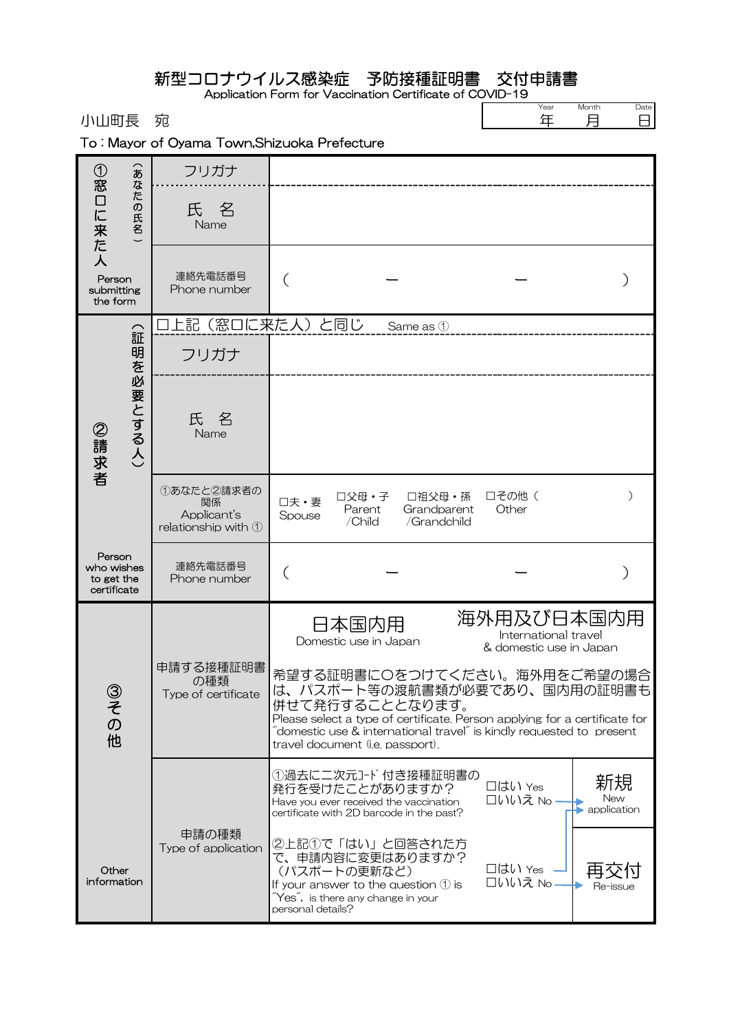## 新型コロナウイルス感染症 予防接種証明書 交付申請書

Application Form for Vaccination Certificate of COVID-19

小山町長 宛

Year 年 Month 月

Date<br>日

|  |  |  |  |  | To: Mayor of Oyama Town, Shizuoka Prefecture |  |
|--|--|--|--|--|----------------------------------------------|--|
|--|--|--|--|--|----------------------------------------------|--|

| ①窓一                                               | $\widehat{\mathbf{z}}$ | フリガナ                                                             |                                                                                                                                                                                                    |                                |                                      |                                                                                                                                                                                                                                            |                          |
|---------------------------------------------------|------------------------|------------------------------------------------------------------|----------------------------------------------------------------------------------------------------------------------------------------------------------------------------------------------------|--------------------------------|--------------------------------------|--------------------------------------------------------------------------------------------------------------------------------------------------------------------------------------------------------------------------------------------|--------------------------|
| 口に来た人                                             | なた<br>の氏名              | 氏名<br>Name                                                       |                                                                                                                                                                                                    |                                |                                      |                                                                                                                                                                                                                                            |                          |
| Person<br>submitting<br>the form                  |                        | 連絡先電話番号<br>Phone number                                          |                                                                                                                                                                                                    |                                |                                      |                                                                                                                                                                                                                                            |                          |
|                                                   |                        | 口上記(窓口に来た人)と同じ                                                   |                                                                                                                                                                                                    |                                | Same as 1                            |                                                                                                                                                                                                                                            |                          |
|                                                   |                        | フリガナ                                                             |                                                                                                                                                                                                    |                                |                                      |                                                                                                                                                                                                                                            |                          |
| ②請求者                                              | (証明を必要とする人)            | 氏<br>名<br>Name                                                   |                                                                                                                                                                                                    |                                |                                      |                                                                                                                                                                                                                                            |                          |
|                                                   |                        | ①あなたと2請求者の<br>関係<br>Applicant's<br>relationship with $\mathbb O$ | 口夫·妻<br>Spouse                                                                                                                                                                                     | □父母・子<br>Parent<br>/Child      | □祖父母・孫<br>Grandparent<br>/Grandchild | □その他 (<br>Other                                                                                                                                                                                                                            | ⟩                        |
| Person<br>who wishes<br>to get the<br>certificate |                        | 連絡先電話番号<br>Phone number                                          |                                                                                                                                                                                                    |                                |                                      |                                                                                                                                                                                                                                            |                          |
|                                                   |                        |                                                                  |                                                                                                                                                                                                    | 日本国内用<br>Domestic use in Japan |                                      | 海外用及び日本国内用<br>International travel<br>& domestic use in Japan                                                                                                                                                                              |                          |
| 3<br>そ<br>$\sigma$<br>他                           |                        | 申請する接種証明書<br>の種類<br>Type of certificate                          | 併せて発行することとなります。<br>travel document (i.e. passport).                                                                                                                                                |                                |                                      | 希望する証明書に〇をつけてください。海外用をご希望の場合<br>は、パスポート等の渡航書類が必要であり、国内用の証明書も<br>Please select a type of certificate. Person applying for a certificate for<br>$\tilde{\ }$ domestic use & international travel $\tilde{\ }$ is kindly requested to present |                          |
|                                                   |                        |                                                                  | 発行を受けたことがありますか?<br>Have you ever received the vaccination<br>certificate with 2D barcode in the past?                                                                                              |                                | ①過去に二次元コード付き接種証明書の                   | □はい Yes<br>口いいえ No.                                                                                                                                                                                                                        | 新規<br>New<br>application |
| Other<br>information                              |                        | 申請の種類<br>Type of application                                     | ②上記①で「はい」と回答された方<br>で、申請内容に変更はありますか?<br>(パスポートの更新など)<br>If your answer to the question $\mathcal D$ is<br>$\widetilde{\ }$ Yes $\widetilde{\ }$ , is there any change in your<br>personal details? |                                |                                      | 口はい Yes<br>□いいえ No                                                                                                                                                                                                                         | 甲<br>Re-issue            |